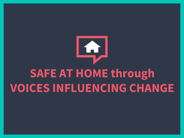

## **SAFE AT HOME through VOICES INFLUENCING CHANGE**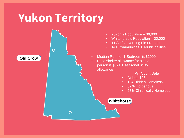## **Yukon Territory**

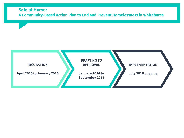#### **Safe at Home: A Community-Based Action Plan to End and Prevent Homelessness in Whitehorse**

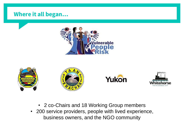### **Where it all began…**











- 2 co-Chairs and 18 Working Group members
- 200 service providers, people with lived experience, business owners, and the NGO community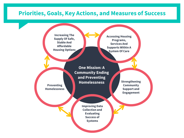### **Priorities, Goals, Key Actions, and Measures of Success**

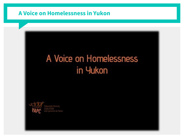### **A Voice on Homelessness in Yukon**

### A Voice on Homelessness in Yukon

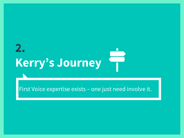## **2. Kerry's Journey**

First Voice expertise exists – one just need involve it.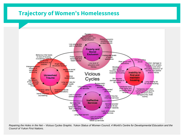### **Trajectory of Women's Homelessness**



*Repairing the Holes in the Net – Vicious Cycles Graphic. Yukon Status of Women Council, 4 World's Centre for Developmental Education and the Council of Yukon First Nations.*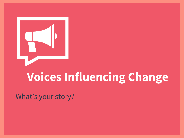

## **Voices Influencing Change**

What's your story?